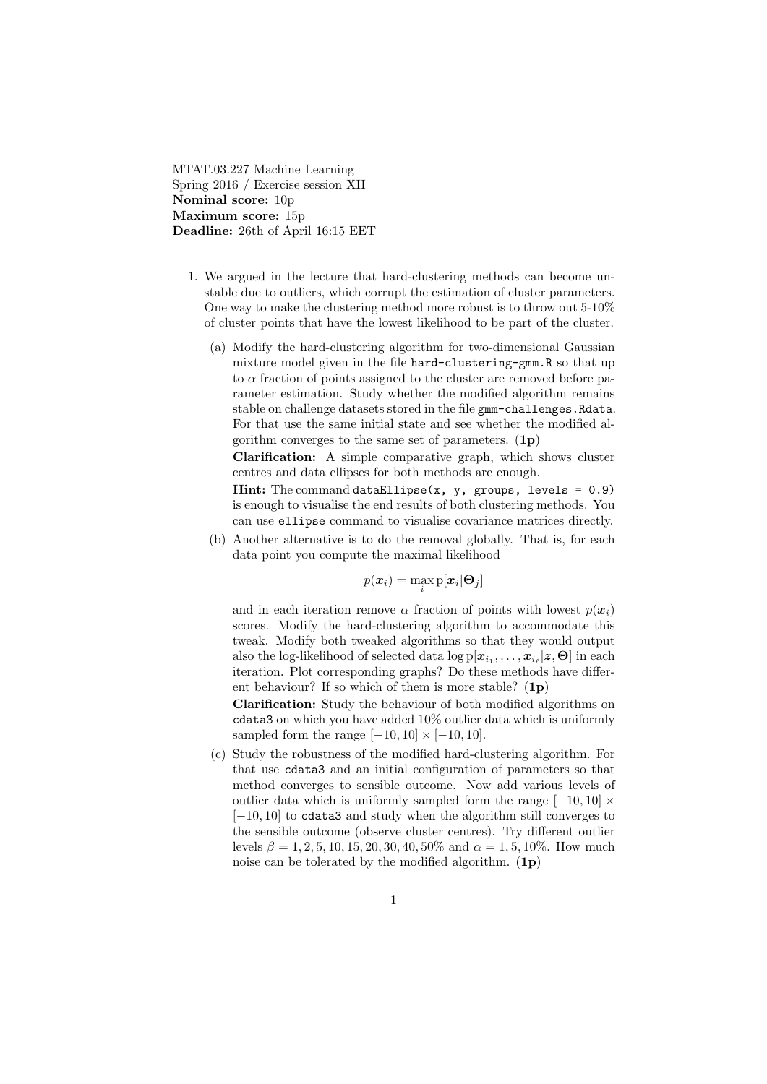MTAT.03.227 Machine Learning Spring 2016 / Exercise session XII Nominal score: 10p Maximum score: 15p Deadline: 26th of April 16:15 EET

- 1. We argued in the lecture that hard-clustering methods can become unstable due to outliers, which corrupt the estimation of cluster parameters. One way to make the clustering method more robust is to throw out 5-10% of cluster points that have the lowest likelihood to be part of the cluster.
	- (a) Modify the hard-clustering algorithm for two-dimensional Gaussian mixture model given in the file hard-clustering-gmm.R so that up to  $\alpha$  fraction of points assigned to the cluster are removed before parameter estimation. Study whether the modified algorithm remains stable on challenge datasets stored in the file gmm-challenges.Rdata. For that use the same initial state and see whether the modified algorithm converges to the same set of parameters.  $(1p)$

Clarification: A simple comparative graph, which shows cluster centres and data ellipses for both methods are enough.

Hint: The command dataEllipse $(x, y, groups, levels = 0.9)$ is enough to visualise the end results of both clustering methods. You can use ellipse command to visualise covariance matrices directly.

(b) Another alternative is to do the removal globally. That is, for each data point you compute the maximal likelihood

$$
p(\bm{x}_i) = \max_i \mathrm{p}[\bm{x}_i|\bm{\Theta}_j]
$$

and in each iteration remove  $\alpha$  fraction of points with lowest  $p(x_i)$ scores. Modify the hard-clustering algorithm to accommodate this tweak. Modify both tweaked algorithms so that they would output also the log-likelihood of selected data  $\log \text{p}[x_{i_1}, \ldots, x_{i_\ell}|z, \Theta]$  in each iteration. Plot corresponding graphs? Do these methods have different behaviour? If so which of them is more stable?  $(1p)$ 

Clarification: Study the behaviour of both modified algorithms on cdata3 on which you have added 10% outlier data which is uniformly sampled form the range  $[-10, 10] \times [-10, 10]$ .

(c) Study the robustness of the modified hard-clustering algorithm. For that use cdata3 and an initial configuration of parameters so that method converges to sensible outcome. Now add various levels of outlier data which is uniformly sampled form the range  $[-10, 10] \times$ [−10, 10] to cdata3 and study when the algorithm still converges to the sensible outcome (observe cluster centres). Try different outlier levels  $\beta = 1, 2, 5, 10, 15, 20, 30, 40, 50\%$  and  $\alpha = 1, 5, 10\%$ . How much noise can be tolerated by the modified algorithm.  $(1p)$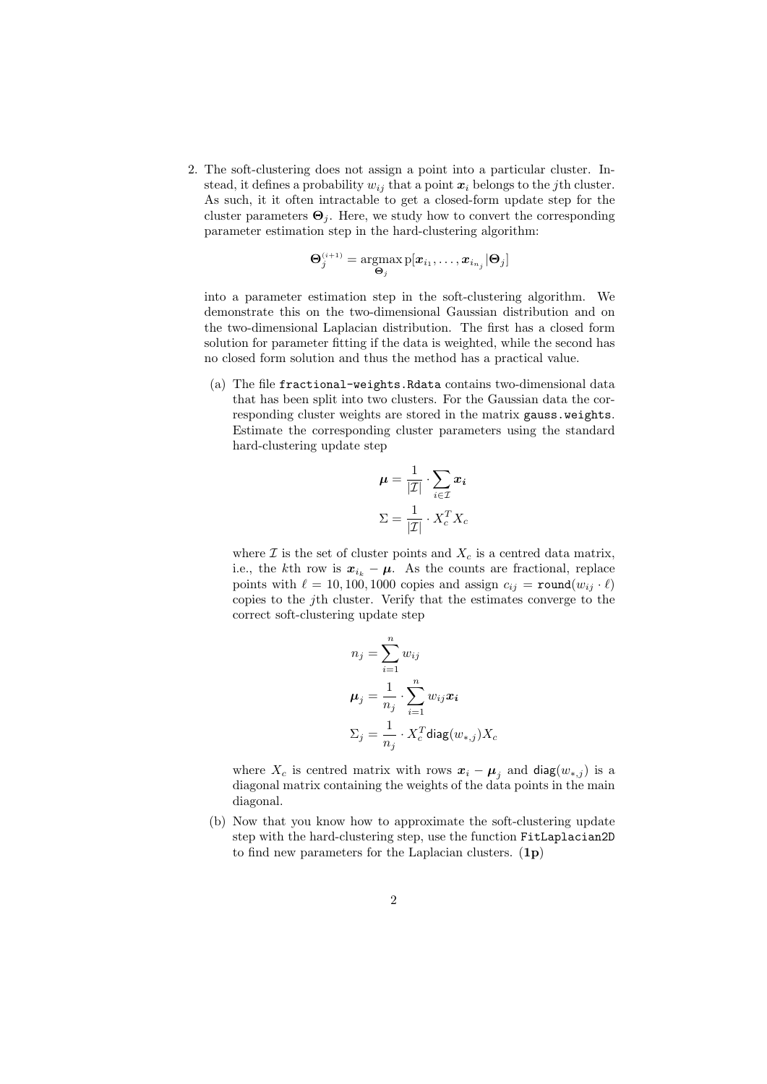2. The soft-clustering does not assign a point into a particular cluster. Instead, it defines a probability  $w_{ij}$  that a point  $x_i$  belongs to the jth cluster. As such, it it often intractable to get a closed-form update step for the cluster parameters  $\mathbf{\Theta}_j$ . Here, we study how to convert the corresponding parameter estimation step in the hard-clustering algorithm:

$$
\mathbf{\Theta}_j^{(i+1)} = \operatornamewithlimits{argmax}_{\mathbf{\Theta}_j} \mathrm{p}[\boldsymbol{x}_{i_1}, \ldots, \boldsymbol{x}_{i_{n_j}} | \mathbf{\Theta}_j]
$$

into a parameter estimation step in the soft-clustering algorithm. We demonstrate this on the two-dimensional Gaussian distribution and on the two-dimensional Laplacian distribution. The first has a closed form solution for parameter fitting if the data is weighted, while the second has no closed form solution and thus the method has a practical value.

(a) The file fractional-weights.Rdata contains two-dimensional data that has been split into two clusters. For the Gaussian data the corresponding cluster weights are stored in the matrix gauss.weights. Estimate the corresponding cluster parameters using the standard hard-clustering update step

$$
\mu = \frac{1}{|\mathcal{I}|} \cdot \sum_{i \in \mathcal{I}} x_i
$$

$$
\Sigma = \frac{1}{|\mathcal{I}|} \cdot X_c^T X_c
$$

where  $\mathcal I$  is the set of cluster points and  $X_c$  is a centred data matrix, i.e., the kth row is  $x_{i_k} - \mu$ . As the counts are fractional, replace points with  $\ell = 10, 100, 1000$  copies and assign  $c_{ij} = \text{round}(w_{ij} \cdot \ell)$ copies to the jth cluster. Verify that the estimates converge to the correct soft-clustering update step

$$
n_j = \sum_{i=1}^n w_{ij}
$$
  
\n
$$
\mu_j = \frac{1}{n_j} \cdot \sum_{i=1}^n w_{ij} x_i
$$
  
\n
$$
\Sigma_j = \frac{1}{n_j} \cdot X_c^T \text{diag}(w_{*,j}) X_c
$$

where  $X_c$  is centred matrix with rows  $x_i - \mu_i$  and diag $(w_{*,j})$  is a diagonal matrix containing the weights of the data points in the main diagonal.

(b) Now that you know how to approximate the soft-clustering update step with the hard-clustering step, use the function FitLaplacian2D to find new parameters for the Laplacian clusters.  $(1p)$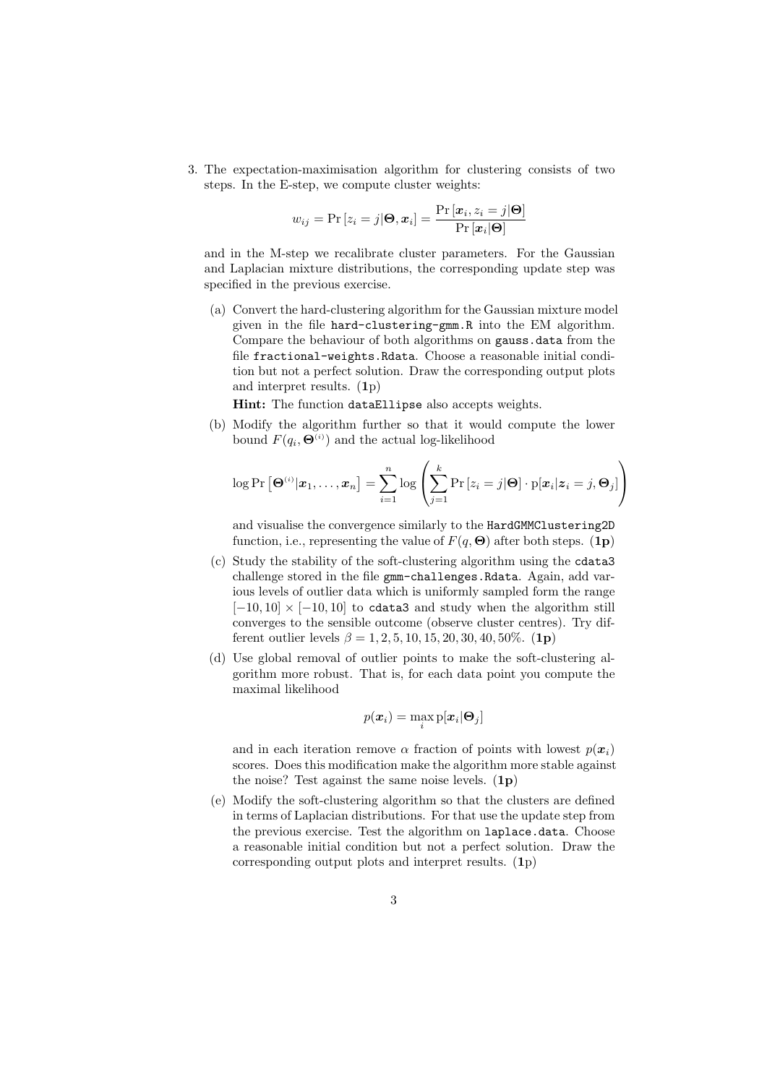3. The expectation-maximisation algorithm for clustering consists of two steps. In the E-step, we compute cluster weights:

$$
w_{ij} = \Pr\left[z_i = j | \mathbf{\Theta}, \mathbf{x}_i\right] = \frac{\Pr\left[\mathbf{x}_i, z_i = j | \mathbf{\Theta}\right]}{\Pr\left[\mathbf{x}_i | \mathbf{\Theta}\right]}
$$

and in the M-step we recalibrate cluster parameters. For the Gaussian and Laplacian mixture distributions, the corresponding update step was specified in the previous exercise.

(a) Convert the hard-clustering algorithm for the Gaussian mixture model given in the file hard-clustering-gmm.R into the EM algorithm. Compare the behaviour of both algorithms on gauss.data from the file fractional-weights.Rdata. Choose a reasonable initial condition but not a perfect solution. Draw the corresponding output plots and interpret results. (1p)

Hint: The function dataEllipse also accepts weights.

(b) Modify the algorithm further so that it would compute the lower bound  $F(q_i, \mathbf{\Theta}^{(i)})$  and the actual log-likelihood

$$
\log \Pr\left[\mathbf{\Theta}^{(i)}|\mathbf{x}_1,\ldots,\mathbf{x}_n\right] = \sum_{i=1}^n \log \left(\sum_{j=1}^k \Pr\left[z_i=j|\mathbf{\Theta}\right]\cdot p[\mathbf{x}_i|\mathbf{z}_i=j,\mathbf{\Theta}_j]\right)
$$

and visualise the convergence similarly to the HardGMMClustering2D function, i.e., representing the value of  $F(q, \Theta)$  after both steps. (1p)

- (c) Study the stability of the soft-clustering algorithm using the cdata3 challenge stored in the file gmm-challenges.Rdata. Again, add various levels of outlier data which is uniformly sampled form the range  $[-10, 10] \times [-10, 10]$  to cdata3 and study when the algorithm still converges to the sensible outcome (observe cluster centres). Try different outlier levels  $\beta = 1, 2, 5, 10, 15, 20, 30, 40, 50\%$ . (1p)
- (d) Use global removal of outlier points to make the soft-clustering algorithm more robust. That is, for each data point you compute the maximal likelihood

$$
p(\boldsymbol{x}_i) = \max_i p[\boldsymbol{x}_i | \boldsymbol{\Theta}_j]
$$

and in each iteration remove  $\alpha$  fraction of points with lowest  $p(x_i)$ scores. Does this modification make the algorithm more stable against the noise? Test against the same noise levels.  $(1p)$ 

(e) Modify the soft-clustering algorithm so that the clusters are defined in terms of Laplacian distributions. For that use the update step from the previous exercise. Test the algorithm on laplace.data. Choose a reasonable initial condition but not a perfect solution. Draw the corresponding output plots and interpret results. (1p)